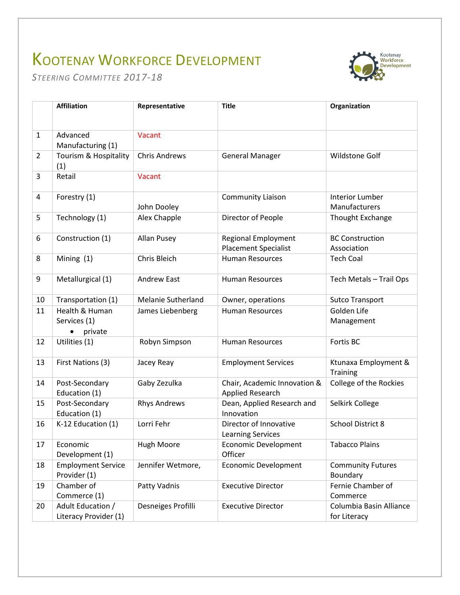## KOOTENAY WORKFORCE DEVELOPMENT



*STEERING COMMITTEE 2017-18*

|                | <b>Affiliation</b>                         | Representative       | <b>Title</b>                                       | Organization                            |
|----------------|--------------------------------------------|----------------------|----------------------------------------------------|-----------------------------------------|
| $\mathbf{1}$   | Advanced<br>Manufacturing (1)              | Vacant               |                                                    |                                         |
| $\overline{2}$ | Tourism & Hospitality<br>(1)               | <b>Chris Andrews</b> | <b>General Manager</b>                             | <b>Wildstone Golf</b>                   |
| 3              | Retail                                     | Vacant               |                                                    |                                         |
| 4              | Forestry (1)                               | John Dooley          | <b>Community Liaison</b>                           | <b>Interior Lumber</b><br>Manufacturers |
| 5              | Technology (1)                             | Alex Chapple         | Director of People                                 | Thought Exchange                        |
| 6              | Construction (1)                           | <b>Allan Pusey</b>   | Regional Employment<br><b>Placement Specialist</b> | <b>BC Construction</b><br>Association   |
| 8              | Mining $(1)$                               | Chris Bleich         | <b>Human Resources</b>                             | <b>Tech Coal</b>                        |
| 9              | Metallurgical (1)                          | <b>Andrew East</b>   | <b>Human Resources</b>                             | Tech Metals - Trail Ops                 |
| 10             | Transportation (1)                         | Melanie Sutherland   | Owner, operations                                  | <b>Sutco Transport</b>                  |
| 11             | Health & Human<br>Services (1)<br>private  | James Liebenberg     | <b>Human Resources</b>                             | Golden Life<br>Management               |
| 12             | Utilities (1)                              | Robyn Simpson        | <b>Human Resources</b>                             | Fortis BC                               |
| 13             | First Nations (3)                          | Jacey Reay           | <b>Employment Services</b>                         | Ktunaxa Employment &<br><b>Training</b> |
| 14             | Post-Secondary<br>Education (1)            | Gaby Zezulka         | Chair, Academic Innovation &<br>Applied Research   | College of the Rockies                  |
| 15             | Post-Secondary<br>Education (1)            | <b>Rhys Andrews</b>  | Dean, Applied Research and<br>Innovation           | Selkirk College                         |
| 16             | K-12 Education (1)                         | Lorri Fehr           | Director of Innovative<br><b>Learning Services</b> | School District 8                       |
| 17             | Economic<br>Development (1)                | Hugh Moore           | <b>Economic Development</b><br>Officer             | <b>Tabacco Plains</b>                   |
| 18             | <b>Employment Service</b><br>Provider (1)  | Jennifer Wetmore,    | <b>Economic Development</b>                        | <b>Community Futures</b><br>Boundary    |
| 19             | Chamber of<br>Commerce (1)                 | Patty Vadnis         | <b>Executive Director</b>                          | Fernie Chamber of<br>Commerce           |
| 20             | Adult Education /<br>Literacy Provider (1) | Desneiges Profilli   | <b>Executive Director</b>                          | Columbia Basin Alliance<br>for Literacy |